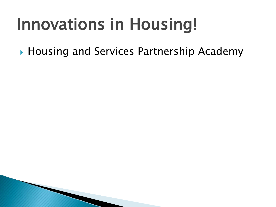## Innovations in Housing!

▶ Housing and Services Partnership Academy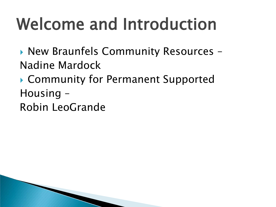# Welcome and Introduction

▶ New Braunfels Community Resources -Nadine Mardock

▶ Community for Permanent Supported Housing – Robin LeoGrande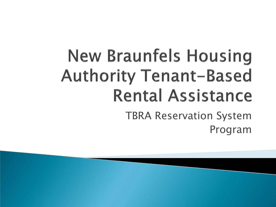## **New Braunfels Housing Authority Tenant-Based Rental Assistance** TBRA Reservation System Program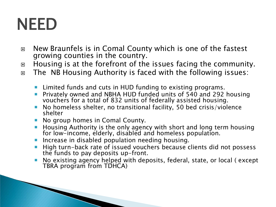## NEED

- □ New Braunfels is in Comal County which is one of the fastest growing counties in the country.
- □ Housing is at the forefront of the issues facing the community.
- □ The NB Housing Authority is faced with the following issues:
	- **E** Limited funds and cuts in HUD funding to existing programs.
	- Privately owned and NBHA HUD funded units of 540 and 292 housing vouchers for a total of 832 units of federally assisted housing.
	- No homeless shelter, no transitional facility, 50 bed crisis/violence shelter
	- No group homes in Comal County.

**The Common Seconds** 

- **Housing Authority is the only agency with short and long term housing** for low-income, elderly, disabled and homeless population.
- **Increase in disabled population needing housing.**
- High turn-back rate of issued vouchers because clients did not possess the funds to pay deposits up-front.
- No existing agency helped with deposits, federal, state, or local ( except TBRA program from TDHCA)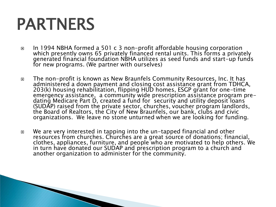## PARTNERS

**The Common Seconds** 

- In 1994 NBHA formed a 501 c 3 non-profit affordable housing corporation which presently owns 65 privately financed rental units. This forms a privately generated financial foundation NBHA utilizes as seed funds and start-up funds<br>for new programs. (We partner with ourselves)
- The non-profit is known as New Braunfels Community Resources, Inc. It has administered a down payment and closing cost assistance grant from TDHCA, 203(k) housing rehabilitation, flipping HUD homes, ESGP grant for one-time dating Medicare Part D, created a fund for security and utility deposit loans (SUDAP) raised from the private sector, churches, voucher program landlords, the Board of Realtors, the City of New Braunfels, our bank, clubs and civic organizations. We leave no stone unturned when we are looking for funding.
- □ We are very interested in tapping into the un-tapped financial and other resources from churches. Churches are a great source of donations; financial, clothes, appliances, furniture, and people who are motivated to help others. We in turn have donated our SUDAP and prescription program to a church and another organization to administer for the community.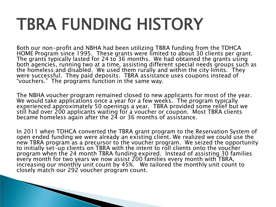## TBRA FUNDING HISTORY

Both our non-profit and NBHA had been utilizing TBRA funding from the TDHCA<br>HOME Program since 1995. These grants were limited to about 30 clients per grant. The grants typically lasted for 24 to 36 months. We had obtained the grants using both agencies, running two at a time, assisting different special needs groups such as the homeless and disabled. We used them rurally and within the city limits. They were successful. They paid deposits. TBRA assistance uses coupons instead of "vouchers." The programs function in the same way.

The NBHA voucher program remained closed to new applicants for most of the year. We would take applications once a year for a few weeks. The program typically experienced approximately 50 openings a year. TBRA provided some relief but we still had over 200 applicants waiting for a voucher or coupon. Most TBRA clients became homeless again after the 24 or 36 months of assistance.

In 2011 when TDHCA converted the TBRA grant program to the Reservation System of open ended funding we were already an existing client. We realized we could use the new TBRA program as a precursor to the voucher program. We seized the opportunity<br>to initially set-up clients on TBRA with the intent to roll clients onto the voucher program when the 24 month TBRA funding expired. Instead of assisting 30 families every month for two years we now assist 200 families every month with TBRA, increasing our monthly unit count by 45%. We tailored the monthly unit count to closely match our 292 voucher program count.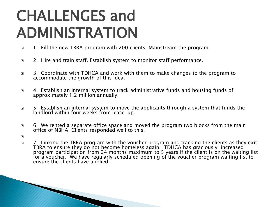## CHALLENGES and ADMINISTRATION

- □ 1. Fill the new TBRA program with 200 clients. Mainstream the program.
- □ 2. Hire and train staff. Establish system to monitor staff performance.
- □ 3. Coordinate with TDHCA and work with them to make changes to the program to accommodate the growth of this idea.
- □ 4. Establish an internal system to track administrative funds and housing funds of approximately 1.2 million annually.
- □ 5. Establish an internal system to move the applicants through a system that funds the landlord within four weeks from lease-up.
- $\Box$  6. We rented a separate office space and moved the program two blocks from the main office of NBHA. Clients responded well to this.
- $\Box$
- □ 7. Linking the TBRA program with the voucher program and tracking the clients as they exit TBRA to ensure they do not become homeless again. TDHCA has graciously increased program participation from 24 months maximum to 5 years if the client is on the waiting list for a voucher. We have regularly scheduled opening of the voucher program waiting list to ensure the clients have applied.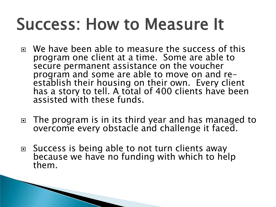## Success: How to Measure It

- We have been able to measure the success of this program one client at a time. Some are able to secure permanent assistance on the voucher<br>program and some are able to move on and reestablish their housing on their own. Every client has a story to tell. A total of 400 clients have been assisted with these funds.
- □ The program is in its third year and has managed to overcome every obstacle and challenge it faced.
- □ Success is being able to not turn clients away because we have no funding with which to help them.

**The Common Seconds**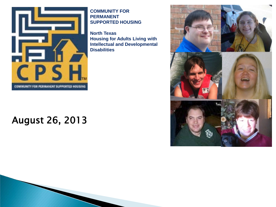

#### **COMMUNITY FOR PERMANENT SUPPORTED HOUSING**

**North Texas Housing for Adults Living with Intellectual and Developmental Disabilities**

#### August 26, 2013

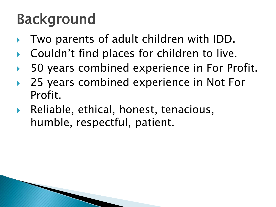## Background

- Two parents of adult children with IDD.
- Couldn't find places for children to live.
- 50 years combined experience in For Profit.
- 25 years combined experience in Not For Profit.
- Reliable, ethical, honest, tenacious, humble, respectful, patient.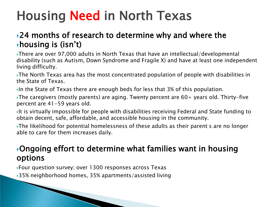### Housing Need in North Texas

#### 24 months of research to determine why and where the housing is (isn't)

There are over 97,000 adults in North Texas that have an intellectual/developmental disability (such as Autism, Down Syndrome and Fragile X) and have at least one independent living difficulty.

The North Texas area has the most concentrated population of people with disabilities in the State of Texas.

In the State of Texas there are enough beds for less that  $3\%$  of this population.

The caregivers (mostly parents) are aging. Twenty percent are  $60+$  years old. Thirty-five percent are 41-59 years old.

It is virtually impossible for people with disabilities receiving Federal and State funding to obtain decent, safe, affordable, and accessible housing in the community.

The likelihood for potential homelessness of these adults as their parent s are no longer able to care for them increases daily.

#### Ongoing effort to determine what families want in housing options

Four question survey; over 1300 responses across Texas 35% neighborhood homes, 35% apartments/assisted living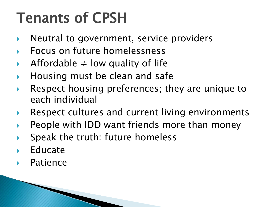## Tenants of CPSH

- $\triangleright$  Neutral to government, service providers
- Focus on future homelessness
- Affordable  $\neq$  low quality of life
- Housing must be clean and safe
- Respect housing preferences; they are unique to each individual
- Respect cultures and current living environments
- People with IDD want friends more than money
- Speak the truth: future homeless
- Educate
- Patience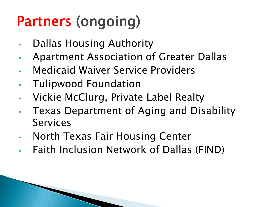## Partners (ongoing)

- Dallas Housing Authority
- Apartment Association of Greater Dallas
- Medicaid Waiver Service Providers
- Tulipwood Foundation
- Vickie McClurg, Private Label Realty
- Texas Department of Aging and Disability Services
- North Texas Fair Housing Center
- Faith Inclusion Network of Dallas (FIND)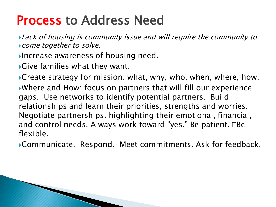#### Process to Address Need

**Lack of housing is community issue and will require the community to** come together to solve.

Increase awareness of housing need.

Give families what they want.

Create strategy for mission: what, why, who, when, where, how. Where and How: focus on partners that will fill our experience gaps. Use networks to identify potential partners. Build relationships and learn their priorities, strengths and worries. Negotiate partnerships. highlighting their emotional, financial, and control needs. Always work toward "yes." Be patient.  $\Box$ Be flexible.

Communicate. Respond. Meet commitments. Ask for feedback.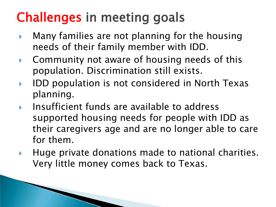### Challenges in meeting goals

- $\triangleright$  Many families are not planning for the housing needs of their family member with IDD.
- ▶ Community not aware of housing needs of this population. Discrimination still exists.
- ▶ IDD population is not considered in North Texas planning.
- $\triangleright$  Insufficient funds are available to address supported housing needs for people with IDD as their caregivers age and are no longer able to care for them.
- $\blacktriangleright$  Huge private donations made to national charities. Very little money comes back to Texas.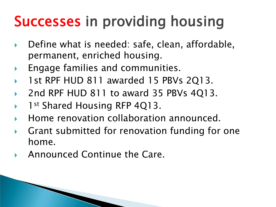## Successes in providing housing

- Define what is needed: safe, clean, affordable, permanent, enriched housing.
- Engage families and communities.
- 1st RPF HUD 811 awarded 15 PBVs 2Q13.
- 2nd RPF HUD 811 to award 35 PBVs 4Q13.
- 1st Shared Housing RFP 4Q13.
- Home renovation collaboration announced.
- Grant submitted for renovation funding for one home.
- Announced Continue the Care.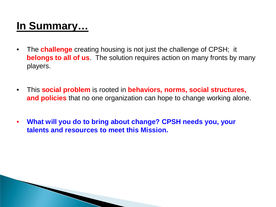#### **In Summary…**

**The Comment of Comment Comment Comment Comment Comment Comment Comment Comment Comment Comment Comment Comment** 

- The **challenge** creating housing is not just the challenge of CPSH; it **belongs to all of us**. The solution requires action on many fronts by many players.
- This **social problem** is rooted in **behaviors, norms, social structures, and policies** that no one organization can hope to change working alone.
- **What will you do to bring about change? CPSH needs you, your talents and resources to meet this Mission.**